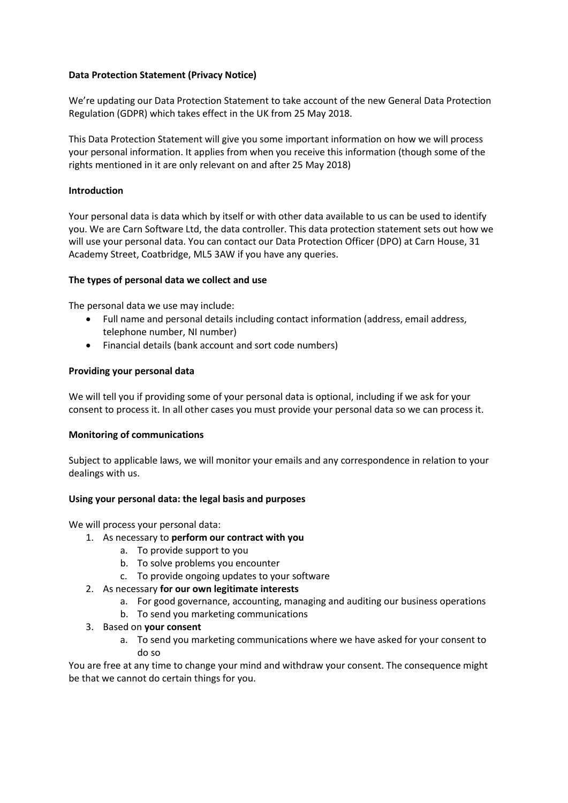# **Data Protection Statement (Privacy Notice)**

We're updating our Data Protection Statement to take account of the new General Data Protection Regulation (GDPR) which takes effect in the UK from 25 May 2018.

This Data Protection Statement will give you some important information on how we will process your personal information. It applies from when you receive this information (though some of the rights mentioned in it are only relevant on and after 25 May 2018)

# **Introduction**

Your personal data is data which by itself or with other data available to us can be used to identify you. We are Carn Software Ltd, the data controller. This data protection statement sets out how we will use your personal data. You can contact our Data Protection Officer (DPO) at Carn House, 31 Academy Street, Coatbridge, ML5 3AW if you have any queries.

# **The types of personal data we collect and use**

The personal data we use may include:

- Full name and personal details including contact information (address, email address, telephone number, NI number)
- Financial details (bank account and sort code numbers)

# **Providing your personal data**

We will tell you if providing some of your personal data is optional, including if we ask for your consent to process it. In all other cases you must provide your personal data so we can process it.

## **Monitoring of communications**

Subject to applicable laws, we will monitor your emails and any correspondence in relation to your dealings with us.

## **Using your personal data: the legal basis and purposes**

We will process your personal data:

- 1. As necessary to **perform our contract with you**
	- a. To provide support to you
	- b. To solve problems you encounter
	- c. To provide ongoing updates to your software
- 2. As necessary **for our own legitimate interests**
	- a. For good governance, accounting, managing and auditing our business operations
	- b. To send you marketing communications
- 3. Based on **your consent**
	- a. To send you marketing communications where we have asked for your consent to do so

You are free at any time to change your mind and withdraw your consent. The consequence might be that we cannot do certain things for you.